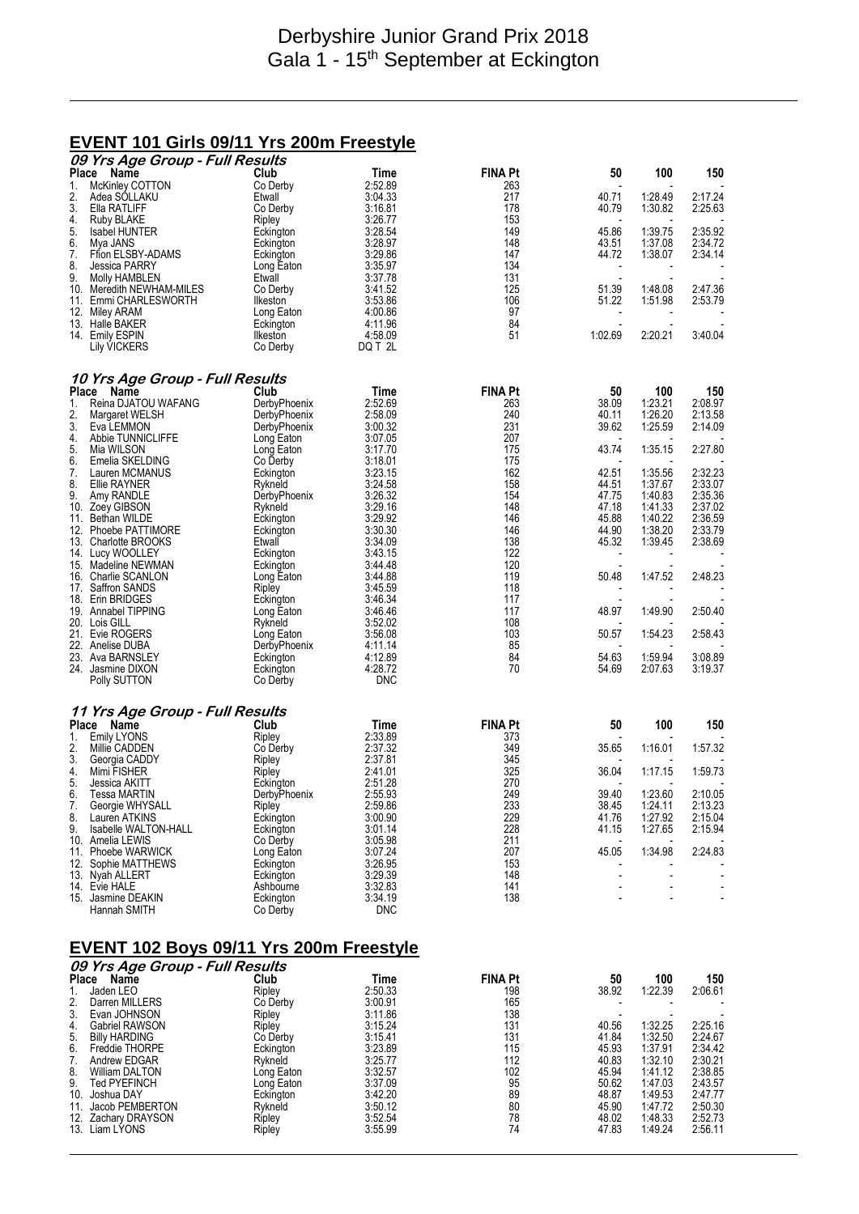## **EVENT 101 Girls 09/11 Yrs 200m Freestyle**

|           | 09 Yrs Age Group - Full Results         |                            |                       |                |                          |                          |                          |
|-----------|-----------------------------------------|----------------------------|-----------------------|----------------|--------------------------|--------------------------|--------------------------|
| Place     | Name                                    | Club                       | Time                  | <b>FINA Pt</b> | 50                       | 100                      | 150                      |
| 1.        | McKinley COTTON                         | Co Derby                   | 2:52.89               | 263            |                          |                          |                          |
| 2.<br>3.  | Adea SOLLAKU<br>Ella RATLIFF            | Etwall<br>Co Derby         | 3:04.33<br>3:16.81    | 217<br>178     | 40.71<br>40.79           | 1:28.49<br>1:30.82       | 2:17.24<br>2:25.63       |
| 4.        | <b>Ruby BLAKE</b>                       | Ripley                     | 3:26.77               | 153            |                          |                          |                          |
| 5.        | <b>Isabel HUNTER</b>                    | Eckington                  | 3:28.54               | 149            | 45.86                    | 1:39.75                  | 2:35.92                  |
| 6.        | Mya JANS                                | Eckington                  | 3:28.97               | 148            | 43.51                    | 1:37.08                  | 2:34.72                  |
| 7.        | Ffion ELSBY-ADAMS                       | Eckington                  | 3:29.86               | 147            | 44.72                    | 1:38.07                  | 2:34.14                  |
| 8.        | Jessica PARRY                           | Long Eaton                 | 3:35.97               | 134            |                          |                          |                          |
| 9.        | Molly HAMBLEN                           | Etwall                     | 3:37.78               | 131            | Ĭ.                       |                          |                          |
| 10.       | Meredith NEWHAM-MILES                   | Co Derby                   | 3:41.52               | 125            | 51.39                    | 1:48.08                  | 2:47.36                  |
|           | 11. Emmi CHARLESWORTH                   | <b>Ilkeston</b>            | 3.53.86               | 106            | 51.22                    | 1:51.98                  | 2:53.79                  |
| 12.       | Miley ARAM                              | Long Eaton                 | 4:00.86               | 97             | $\overline{\phantom{a}}$ |                          |                          |
|           | 13. Halle BAKER                         | Eckington                  | 4:11.96               | 84             |                          |                          | 3:40.04                  |
|           | 14. Emily ESPIN<br>Lily VICKERS         | Ilkeston<br>Co Derby       | 4:58.09<br>DQ T 2L    | 51             | 1:02.69                  | 2:20.21                  |                          |
|           |                                         |                            |                       |                |                          |                          |                          |
| Place     | 10 Yrs Age Group - Full Results<br>Name | Club                       | Time                  | <b>FINA Pt</b> | 50                       | 100                      | 150                      |
| 1.        | Reina DJATOU WAFANG                     | DerbyPhoenix               | 2:52.69               | 263            | 38.09                    | 1:23.21                  | 2:08.97                  |
| 2.        | Margaret WELSH                          | DerbyPhoenix               | 2:58.09               | 240            | 40.11                    | 1:26.20                  | 2:13.58                  |
| 3.        | Eva LEMMON                              | DerbyPhoenix               | 3:00.32               | 231            | 39.62                    | 1:25.59                  | 2:14.09                  |
| 4.        | Abbie TUNNICLIFFE                       | Long Eaton                 | 3:07.05               | 207            |                          |                          |                          |
| 5.        | Mia WILSON                              | Long Eaton                 | 3:17.70               | 175            | 43.74                    | 1:35.15                  | 2:27.80                  |
| 6.        | Emelia SKELDING                         | Co Derby                   | 3:18.01               | 175            |                          |                          |                          |
| 7.        | Lauren MCMANUS                          | Eckington                  | 3:23.15               | 162            | 42.51                    | 1:35.56                  | 2:32.23                  |
| 8.        | Ellie RAYNER                            | Rykneld                    | 3:24.58               | 158            | 44.51                    | 1:37.67                  | 2:33.07                  |
| 9.<br>10. | Amy RANDLE                              | DerbyPhoenix<br>Rykneld    | 3:26.32<br>3:29.16    | 154<br>148     | 47.75<br>47.18           | 1:40.83<br>1:41.33       | 2:35.36<br>2:37.02       |
|           | Zoey GIBSON<br>11. Bethan WILDE         | Eckington                  | 3:29.92               | 146            | 45.88                    | 1:40.22                  | 2:36.59                  |
|           | 12. Phoebe PATTIMORE                    | Eckington                  | 3:30.30               | 146            | 44.90                    | 1:38.20                  | 2:33.79                  |
|           | 13. Charlotte BROOKS                    | Etwall                     | 3:34.09               | 138            | 45.32                    | 1:39.45                  | 2:38.69                  |
|           | 14. Lucy WOOLLEY                        | Eckington                  | 3:43.15               | 122            | $\overline{\phantom{a}}$ |                          |                          |
|           | 15. Madeline NEWMAN                     | Eckington                  | 3:44.48               | 120            |                          |                          |                          |
|           | 16. Charlie SCANLON                     | Long Eaton                 | 3:44.88               | 119            | 50.48                    | 1:47.52                  | 2:48.23                  |
|           | 17. Saffron SANDS                       | Ripley                     | 3:45.59               | 118            | $\overline{\phantom{a}}$ |                          |                          |
|           | 18. Erin BRIDGES                        | Eckington                  | 3:46.34               | 117            |                          |                          |                          |
|           | 19. Annabel TIPPING                     | Long Eaton                 | 3:46.46               | 117            | 48.97                    | 1:49.90                  | 2:50.40                  |
|           | 20. Lois GILL<br>21. Evie ROGERS        | Rykneld                    | 3:52.02<br>3:56.08    | 108<br>103     | 50.57                    |                          | 2:58.43                  |
|           | 22. Anelise DUBA                        | Long Eaton<br>DerbyPhoenix | 4:11.14               | 85             |                          | 1:54.23                  |                          |
|           | 23. Ava BARNSLEY                        | Eckington                  | 4:12.89               | 84             | 54.63                    | 1:59.94                  | 3:08.89                  |
|           | 24. Jasmine DIXON                       | Eckington                  | 4:28.72               | 70             | 54.69                    | 2:07.63                  | 3:19.37                  |
|           | Polly SUTTON                            | Co Derby                   | <b>DNC</b>            |                |                          |                          |                          |
|           | 11 Yrs Age Group - Full Results         |                            |                       |                |                          |                          |                          |
| Place     | Name                                    | Club                       | Time                  | <b>FINA Pt</b> | 50                       | 100                      | 150                      |
| 1.        | <b>Emily LYONS</b>                      | Ripley                     | 2:33.89               | 373            |                          |                          |                          |
| 2.        | Millie CADDEN                           | Co Derby                   | 2:37.32               | 349            | 35.65                    | 1:16.01                  | 1:57.32                  |
| 3.        | Georgia CADDY                           | Ripley                     | 2:37.81               | 345            |                          |                          |                          |
| 4.<br>5.  | Mimi FISHER<br>Jessica AKITT            | Ripley                     | 2:41.01<br>2:51.28    | 325<br>270     | 36.04                    | 1:17.15                  | 1:59.73                  |
| 6.        | Tessa MARTIN                            | Eckington<br>DerbyPhoenix  | 2:55.93               | 249            | 39.40                    | 1:23.60                  | 2:10.05                  |
| 7.        | Georgie WHYSALL                         | Ripley                     | 2:59.86               | 233            | 38.45                    | 1:24.11                  | 2:13.23                  |
| 8.        | Lauren ATKINS                           | Eckington                  | 3:00.90               |                | 41.76                    | 1:27.92                  | 2:15.04                  |
| 9.        | Isabelle WALTON-HALL                    | Eckington                  | 3:01.14               | 229<br>228     | 41.15                    | 1:27.65                  | 2:15.94                  |
|           | 10. Amelia LEWIS                        | Co Derby                   | 3:05.98               | 211            |                          |                          |                          |
|           | 11. Phoebe WARWICK                      | Long Eaton                 | 3:07.24               | 207            | 45.05                    | 1:34.98                  | 2:24.83                  |
|           | 12. Sophie MATTHEWS                     | Eckington                  | 3:26.95               | 153            |                          |                          |                          |
|           | 13. Nyah ALLERT                         | Eckington                  | 3:29.39               | 148            |                          | ÷,                       |                          |
|           | 14. Evie HALE                           | Ashbourne                  | 3:32.83               | 141            |                          | $\overline{\phantom{0}}$ | $\overline{\phantom{a}}$ |
|           | 15. Jasmine DEAKIN<br>Hannah SMITH      | Eckington<br>Co Derby      | 3:34.19<br><b>DNC</b> | 138            |                          | ÷,                       |                          |
|           |                                         |                            |                       |                |                          |                          |                          |

#### **EVENT 102 Boys 09/11 Yrs 200m Freestyle**

|     | 09 Yrs Age Group - Full Results |            |         |                |                          |         |         |  |
|-----|---------------------------------|------------|---------|----------------|--------------------------|---------|---------|--|
|     | <b>Place</b><br>Name            | Club       | Time    | <b>FINA Pt</b> | 50                       | 100     | 150     |  |
|     | Jaden LEO                       | Ripley     | 2:50.33 | 198            | 38.92                    | 1:22.39 | 2:06.61 |  |
| 2.  | Darren MILLERS                  | Co Derby   | 3:00.91 | 165            | $\overline{\phantom{0}}$ |         |         |  |
| 3.  | Evan JOHNSON                    | Ripley     | 3:11.86 | 138            |                          |         |         |  |
| 4.  | Gabriel RAWSON                  | Ripley     | 3:15.24 | 131            | 40.56                    | 1:32.25 | 2:25.16 |  |
| 5.  | <b>Billy HARDING</b>            | Co Derby   | 3:15.41 | 131            | 41.84                    | 1:32.50 | 2:24.67 |  |
| 6.  | Freddie THORPE                  | Eckington  | 3:23.89 | 115            | 45.93                    | 1:37.91 | 2:34.42 |  |
|     | Andrew EDGAR                    | Rykneld    | 3:25.77 | 112            | 40.83                    | 1:32.10 | 2:30.21 |  |
| 8.  | William DALTON                  | Long Eaton | 3:32.57 | 102            | 45.94                    | 1:41.12 | 2:38.85 |  |
| 9.  | Ted PYEFINCH                    | Long Eaton | 3:37.09 | 95             | 50.62                    | 1:47.03 | 2:43.57 |  |
| 10. | Joshua DAY                      | Eckington  | 3:42.20 | 89             | 48.87                    | 1:49.53 | 2:47.77 |  |
| 11. | Jacob PEMBERTON                 | Rykneld    | 3:50.12 | 80             | 45.90                    | 1:47.72 | 2:50.30 |  |
| 12. | Zachary DRAYSON                 | Ripley     | 3:52.54 | 78             | 48.02                    | 1:48.33 | 2:52.73 |  |
| 13. | Liam LÝONS                      | Ripley     | 3:55.99 | 74             | 47.83                    | 1:49.24 | 2:56.11 |  |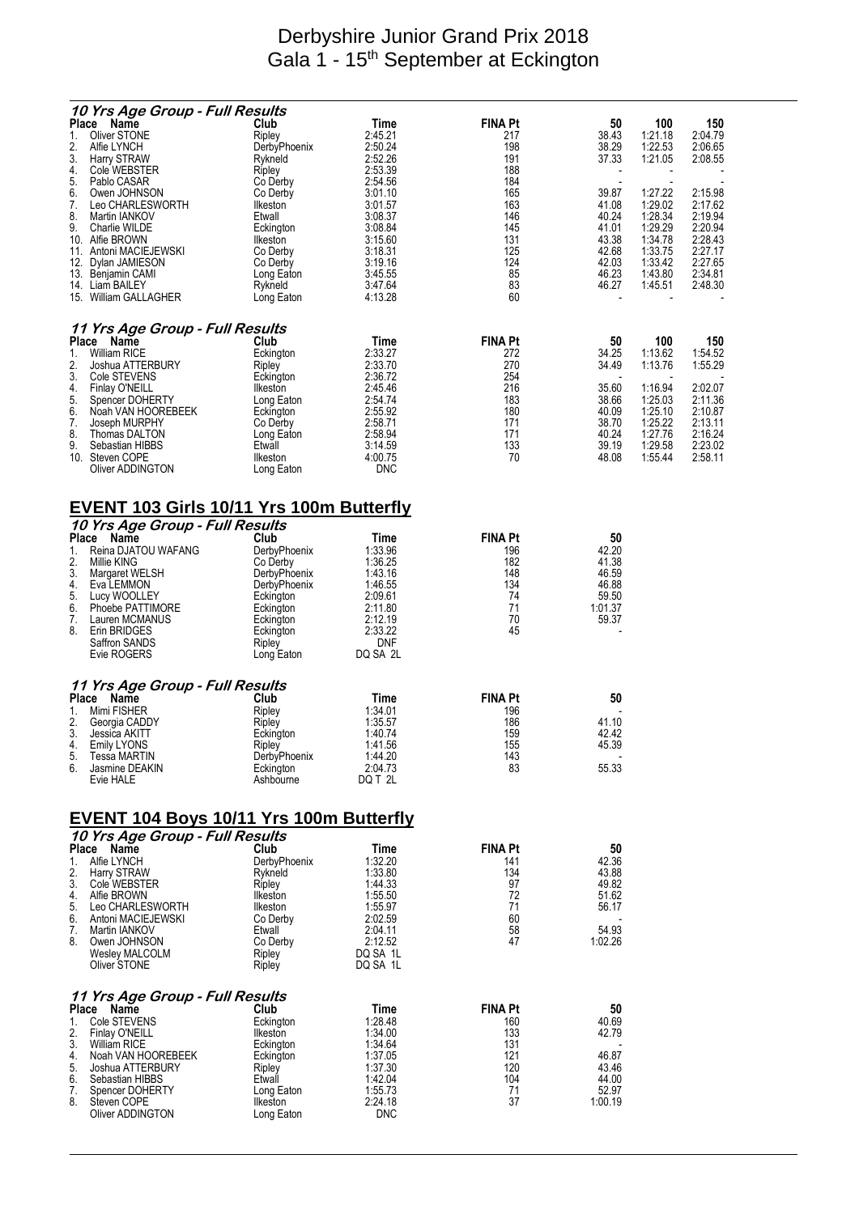## Derbyshire Junior Grand Prix 2018 Gala 1 - 15<sup>th</sup> September at Eckington

|                            | 10 Yrs Age Group - Full Results                                                      |                                                         |                                                     |                                            |                                                           |                                                     |                                                     |
|----------------------------|--------------------------------------------------------------------------------------|---------------------------------------------------------|-----------------------------------------------------|--------------------------------------------|-----------------------------------------------------------|-----------------------------------------------------|-----------------------------------------------------|
| 1.<br>2.<br>3.<br>4.       | Place Name<br>Oliver STONE<br>Alfie LYNCH<br><b>Harry STRAW</b><br>Cole WEBSTER      | Club<br>Ripley<br>DerbyPhoenix<br>Rykneld<br>Ripley     | Time<br>2:45.21<br>2:50.24<br>2:52.26<br>2:53.39    | <b>FINA Pt</b><br>217<br>198<br>191<br>188 | 50<br>38.43<br>38.29<br>37.33<br>$\overline{\phantom{a}}$ | 100<br>1:21.18<br>1:22.53<br>1:21.05                | 150<br>2:04.79<br>2:06.65<br>2:08.55                |
| 5.<br>6.<br>7.<br>8.<br>9. | Pablo CASAR<br>Owen JOHNSON<br>Leo CHARLESWORTH<br>Martin IANKOV<br>Charlie WILDE    | Co Derby<br>Co Derby<br>Ilkeston<br>Etwall<br>Eckington | 2:54.56<br>3:01.10<br>3:01.57<br>3:08.37<br>3:08.84 | 184<br>165<br>163<br>146<br>145            | 39.87<br>41.08<br>40.24<br>41.01                          | 1:27.22<br>1:29.02<br>1:28.34<br>1:29.29            | 2:15.98<br>2:17.62<br>2:19.94<br>2:20.94            |
|                            | 10. Alfie BROWN<br>11. Antoni MACIEJEWSKI<br>12. Dylan JAMIESON<br>13. Benjamin CAMI | Ilkeston<br>Co Derby<br>Co Derby<br>Long Eaton          | 3:15.60<br>3:18.31<br>3:19.16<br>3:45.55<br>3:47.64 | 131<br>125<br>124<br>85<br>83              | 43.38<br>42.68<br>42.03<br>46.23                          | 1:34.78<br>1:33.75<br>1:33.42<br>1:43.80<br>1:45.51 | 2:28.43<br>2:27.17<br>2:27.65<br>2:34.81<br>2:48.30 |
|                            | 14. Liam BAILEY<br>15. William GALLAGHER                                             | Rykneld<br>Long Eaton                                   | 4:13.28                                             | 60                                         | 46.27                                                     |                                                     |                                                     |
|                            | 11 Yrs Age Group - Full Results<br>Place Name                                        | Club                                                    | Time                                                | <b>FINA Pt</b>                             | 50                                                        | 100                                                 | 150                                                 |
| 1.<br>2.                   | <b>William RICE</b><br>Joshua ATTERBURY                                              | Eckington<br>Ripley                                     | 2:33.27<br>2:33.70                                  | 272<br>270                                 | 34.25<br>34.49                                            | 1:13.62<br>1:13.76                                  | 1:54.52<br>1:55.29                                  |
| 3.                         | Cole STEVENS                                                                         | Eckington                                               | 2:36.72                                             | 254                                        |                                                           |                                                     |                                                     |
| 4.<br>5.                   | Finlay O'NEILL<br>Spencer DOHERTY                                                    | Ilkeston<br>Long Eaton                                  | 2:45.46<br>2:54.74                                  | 216<br>183                                 | 35.60<br>38.66                                            | 1:16.94<br>1:25.03                                  | 2:02.07<br>2:11.36                                  |
| 6.                         | Noah VAN HOOREBEEK                                                                   | Eckington                                               | 2:55.92                                             | 180                                        | 40.09                                                     | 1:25.10                                             | 2:10.87                                             |
| 7.<br>8.                   | Joseph MURPHY<br>Thomas DALTON                                                       | Co Derby<br>Long Eaton                                  | 2:58.71<br>2:58.94                                  | 171<br>171                                 | 38.70<br>40.24                                            | 1:25.22<br>1:27.76                                  | 2:13.11<br>2:16.24                                  |
| 9.                         | Sebastian HIBBS                                                                      | Etwall                                                  | 3:14.59                                             | 133                                        | 39.19                                                     | 1:29.58                                             | 2:23.02                                             |
|                            | 10. Steven COPE<br>Oliver ADDINGTON                                                  | Ilkeston<br>Long Eaton                                  | 4:00.75<br><b>DNC</b>                               | 70                                         | 48.08                                                     | 1:55.44                                             | 2:58.11                                             |
|                            | <u>EVENT 103 Girls 10/11 Yrs 100m Butterfly</u>                                      |                                                         |                                                     |                                            |                                                           |                                                     |                                                     |
|                            | 10 Yrs Age Group - Full Results<br>Place Name                                        | Club                                                    | Time                                                | <b>FINA Pt</b>                             | 50                                                        |                                                     |                                                     |
| 1.                         | Reina DJATOU WAFANG                                                                  | DerbyPhoenix                                            | 1:33.96                                             | 196                                        | 42.20                                                     |                                                     |                                                     |
| 2.<br>3.                   | Millie KING<br>Margaret WELSH                                                        | Co Derby<br>DerbyPhoenix                                | 1:36.25<br>1:43.16                                  | 182<br>148                                 | 41.38<br>46.59                                            |                                                     |                                                     |
| 4.                         | Eva LEMMON                                                                           | DerbyPhoenix                                            | 1:46.55                                             | 134                                        | 46.88                                                     |                                                     |                                                     |
| 5.<br>6.                   | Lucy WOOLLEY<br>Phoebe PATTIMORE                                                     | Eckington<br>Eckington                                  | 2:09.61<br>2:11.80                                  | 74<br>71                                   | 59.50<br>1:01.37                                          |                                                     |                                                     |
| 7.                         | Lauren MCMANUS                                                                       | Eckington                                               | 2:12.19                                             | 70                                         | 59.37                                                     |                                                     |                                                     |
| 8.                         | Erin BRIDGES<br>Saffron SANDS                                                        | Eckington<br>Ripley                                     | 2:33.22<br>DNF                                      | 45                                         |                                                           |                                                     |                                                     |
|                            | Evie ROGERS                                                                          | Long Eaton                                              | DQ SA 2L                                            |                                            |                                                           |                                                     |                                                     |
|                            | 11 Yrs Age Group - Full Results                                                      |                                                         |                                                     |                                            |                                                           |                                                     |                                                     |
| 1.                         | Place Name<br>Mimi FISHER                                                            | Club<br>Ripley                                          | Time<br>1:34.01                                     | <b>FINA Pt</b><br>196                      | 50                                                        |                                                     |                                                     |
| 2.                         | Georgia CADDY                                                                        | Ripley                                                  | 1:35.57                                             | 186                                        | 41.10                                                     |                                                     |                                                     |
| 3.<br>4.                   | Jessica AKITT<br>Emily LYONS                                                         | Eckington<br>Ripley                                     | 1:40.74<br>1:41.56                                  | 159<br>155                                 | 42.42<br>45.39                                            |                                                     |                                                     |
| 5.                         | Tessa MARTIN                                                                         | DerbyPhoenix                                            | 1:44.20                                             | 143                                        |                                                           |                                                     |                                                     |
| 6.                         | Jasmine DEAKIN<br>Evie HALE                                                          | Eckington<br>Ashbourne                                  | 2:04.73<br>DQ T 2L                                  | 83                                         | 55.33                                                     |                                                     |                                                     |
|                            | <u>EVENT 104 Boys 10/11 Yrs 100m Butterfly</u>                                       |                                                         |                                                     |                                            |                                                           |                                                     |                                                     |
|                            | 10 Yrs Age Group - Full Results                                                      |                                                         |                                                     |                                            |                                                           |                                                     |                                                     |
| 1.                         | Place Name<br>Alfie LYNCH                                                            | Club<br>DerbyPhoenix                                    | Time<br>1:32.20                                     | <b>FINA Pt</b><br>141                      | 50<br>42.36                                               |                                                     |                                                     |
| 2.<br>3.                   | <b>Harry STRAW</b>                                                                   | Rykneld                                                 | 1:33.80<br>1:44.33                                  | 134                                        | 43.88                                                     |                                                     |                                                     |
| 4.                         | Cole WEBSTER<br>Alfie BROWN                                                          | Ripley<br><b>Ilkeston</b>                               | 1:55.50                                             | 97<br>72                                   | 49.82<br>51.62                                            |                                                     |                                                     |
| 5.<br>6.                   | Leo CHARLESWORTH<br>Antoni MACIEJEWSKI                                               | Ilkeston<br>Co Derby                                    | 1:55.97<br>2:02.59                                  | 71<br>60                                   | 56.17                                                     |                                                     |                                                     |
| 7.                         | Martin IANKOV                                                                        | Etwall                                                  | 2:04.11                                             | 58                                         | 54.93                                                     |                                                     |                                                     |
| 8.                         | Owen JOHNSON<br>Wesley MALCOLM                                                       | Co Derby<br>Ripley                                      | 2:12.52<br>DQ SA 1L                                 | 47                                         | 1:02.26                                                   |                                                     |                                                     |
|                            | Oliver STONE                                                                         | Ripley                                                  | DQ SA 1L                                            |                                            |                                                           |                                                     |                                                     |
|                            | 11 Yrs Age Group - Full Results<br>Place Name                                        | Club                                                    | Time                                                | <b>FINA Pt</b>                             | 50                                                        |                                                     |                                                     |
| 1.                         | Cole STEVENS                                                                         | Eckington                                               | 1:28.48                                             | 160                                        | 40.69                                                     |                                                     |                                                     |
| 2.<br>3.                   | Finlay O'NEILL<br>William RICE                                                       | Ilkeston<br>Eckington                                   | 1:34.00<br>1:34.64                                  | 133<br>131                                 | 42.79                                                     |                                                     |                                                     |
| 4.                         | Noah VAN HOOREBEEK                                                                   | Eckington                                               | 1:37.05                                             | 121                                        | 46.87                                                     |                                                     |                                                     |
| 5.<br>6.                   | Joshua ATTERBURY<br>Sebastian HIBBS                                                  | Ripley<br>Etwall                                        | 1:37.30<br>1:42.04                                  | 120<br>104                                 | 43.46<br>44.00                                            |                                                     |                                                     |
| 7.                         | Spencer DOHERTY                                                                      | Long Eaton                                              | 1:55.73                                             | 71                                         | 52.97                                                     |                                                     |                                                     |
| 8.                         | Steven COPE<br>Oliver ADDINGTON                                                      | Ilkeston<br>Long Eaton                                  | 2:24.18<br><b>DNC</b>                               | 37                                         | 1:00.19                                                   |                                                     |                                                     |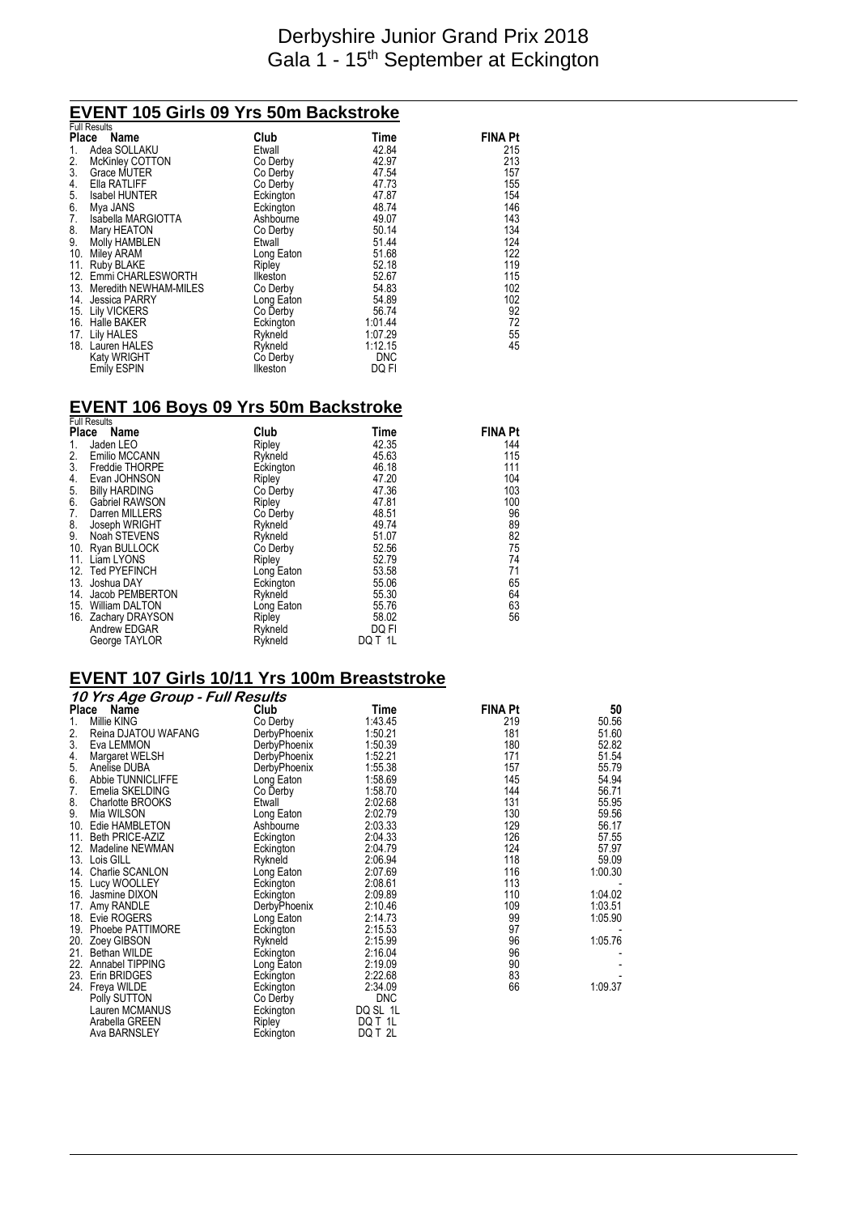### Derbyshire Junior Grand Prix 2018 Gala 1 - 15<sup>th</sup> September at Eckington

# **EVENT 105 Girls 09 Yrs 50m Backstroke**  Full Results

|                    |                                                                                                                                                                                                                                                                        |                                                                                                                             | <b>FINA Pt</b>                                                                                   |
|--------------------|------------------------------------------------------------------------------------------------------------------------------------------------------------------------------------------------------------------------------------------------------------------------|-----------------------------------------------------------------------------------------------------------------------------|--------------------------------------------------------------------------------------------------|
| Adea SOLLAKU       | Etwall                                                                                                                                                                                                                                                                 | 42.84                                                                                                                       | 215                                                                                              |
|                    | Co Derby                                                                                                                                                                                                                                                               | 42.97                                                                                                                       | 213                                                                                              |
| Grace MUTER        | Co Derby                                                                                                                                                                                                                                                               | 47.54                                                                                                                       | 157                                                                                              |
| Ella RATLIFF       | Co Derby                                                                                                                                                                                                                                                               | 47.73                                                                                                                       | 155                                                                                              |
| Isabel HUNTER      |                                                                                                                                                                                                                                                                        | 47.87                                                                                                                       | 154                                                                                              |
| Mya JANS           |                                                                                                                                                                                                                                                                        | 48.74                                                                                                                       | 146                                                                                              |
| Isabella MARGIOTTA | Ashbourne                                                                                                                                                                                                                                                              | 49.07                                                                                                                       | 143                                                                                              |
| Mary HEATON        | Co Derby                                                                                                                                                                                                                                                               | 50.14                                                                                                                       | 134                                                                                              |
| Molly HAMBLEN      | Etwall                                                                                                                                                                                                                                                                 | 51.44                                                                                                                       | 124                                                                                              |
| Miley ARAM         | Long Eaton                                                                                                                                                                                                                                                             | 51.68                                                                                                                       | 122                                                                                              |
|                    |                                                                                                                                                                                                                                                                        |                                                                                                                             | 119                                                                                              |
|                    | Ilkeston                                                                                                                                                                                                                                                               |                                                                                                                             | 115                                                                                              |
|                    |                                                                                                                                                                                                                                                                        |                                                                                                                             | 102                                                                                              |
|                    | Long Eaton                                                                                                                                                                                                                                                             | 54.89                                                                                                                       | 102                                                                                              |
|                    |                                                                                                                                                                                                                                                                        |                                                                                                                             | 92                                                                                               |
|                    |                                                                                                                                                                                                                                                                        |                                                                                                                             | 72                                                                                               |
|                    |                                                                                                                                                                                                                                                                        |                                                                                                                             | 55<br>45                                                                                         |
|                    |                                                                                                                                                                                                                                                                        |                                                                                                                             |                                                                                                  |
|                    |                                                                                                                                                                                                                                                                        |                                                                                                                             |                                                                                                  |
|                    |                                                                                                                                                                                                                                                                        |                                                                                                                             |                                                                                                  |
| 3 <sub>1</sub>     | Full Results<br>Place Name<br>McKinley COTTON<br>10.<br>11.<br>Ruby BLAKE<br>12. Emmi CHARLESWORTH<br>13. Meredith NEWHAM-MILES<br>14. Jessica PARRY<br>15. Lily VICKERS<br>16. Halle BAKER<br>17. Lily HALES<br>18. Lauren HALES<br>Katy WRIGHT<br><b>Emily ESPIN</b> | Club<br>Eckington<br>Eckington<br>Ripley<br>Co Derby<br>Co Derby<br>Eckington<br>Rykneld<br>Rykneld<br>Co Derby<br>Ilkeston | Time<br>52.18<br>52.67<br>54.83<br>56.74<br>1:01.44<br>1:07.29<br>1:12.15<br><b>DNC</b><br>DQ FI |

# **EVENT 106 Boys 09 Yrs 50m Backstroke**  Full Results

|                                       | <b>FUIL RESULS</b><br>Place Name | Club       | Time    | <b>FINA Pt</b> |
|---------------------------------------|----------------------------------|------------|---------|----------------|
| 1.                                    | Jaden LEO                        | Ripley     | 42.35   | 144            |
| 2.                                    | Emilio MCCANN                    | Rykneld    | 45.63   | 115            |
| 3.                                    | Freddie THORPE                   | Eckington  | 46.18   | 111            |
| 4.                                    | Evan JOHNSON                     | Ripley     | 47.20   | 104            |
| $\begin{array}{c} 5 \\ 6 \end{array}$ | <b>Billy HARDING</b>             | Co Derby   | 47.36   | 103            |
|                                       | <b>Gabriel RAWSON</b>            | Ripley     | 47.81   | 100            |
| 7.                                    | Darren MILLERS                   | Co Derby   | 48.51   | 96             |
| 8.                                    | Joseph WRIGHT                    | Rykneld    | 49.74   | 89             |
| 9.                                    | Noah STEVENS                     | Rykneld    | 51.07   | 82             |
| 10.                                   | Ryan BULLOCK                     | Co Derby   | 52.56   | 75             |
|                                       | 11. Liam LYONS                   | Ripley     | 52.79   | 74             |
|                                       | 12. Ted PYEFINCH                 | Long Eaton | 53.58   | 71             |
|                                       | 13. Joshua DAY                   | Eckington  | 55.06   | 65             |
| 14.                                   | Jacob PEMBERTON                  | Rykneld    | 55.30   | 64             |
| 15.                                   | <b>William DALTON</b>            | Long Eaton | 55.76   | 63             |
|                                       | 16. Zachary DRAYSON              | Ripley     | 58.02   | 56             |
|                                       | Andrew EDGAR                     | Rykneld    | DQ FI   |                |
|                                       | George TAYLOR                    | Rykneld    | DQ T 1L |                |

#### **EVENT 107 Girls 10/11 Yrs 100m Breaststroke**

| 10 Yrs Age Group - Full Results |              |            |                |         |
|---------------------------------|--------------|------------|----------------|---------|
| <b>Place</b><br>Name            | Club         | Time       | <b>FINA Pt</b> | 50      |
| 1.<br>Millie KING               | Co Derby     | 1:43.45    | 219            | 50.56   |
| 2.<br>Reina DJATOU WAFANG       | DerbyPhoenix | 1:50.21    | 181            | 51.60   |
| 3.<br>Eva LEMMON                | DerbyPhoenix | 1:50.39    | 180            | 52.82   |
| 4.<br>Margaret WELSH            | DerbyPhoenix | 1:52.21    | 171            | 51.54   |
| 5.<br>Anelise DUBA              | DerbyPhoenix | 1:55.38    | 157            | 55.79   |
| 6.<br>Abbie TUNNICLIFFE         | Long Eaton   | 1:58.69    | 145            | 54.94   |
| 7.<br>Emelia SKELDING           | Co Derby     | 1:58.70    | 144            | 56.71   |
| 8.<br>Charlotte BROOKS          | Etwall       | 2:02.68    | 131            | 55.95   |
| 9.<br>Mia WILSON                | Long Eaton   | 2:02.79    | 130            | 59.56   |
| 10. Edie HAMBLETON              | Ashbourne    | 2:03.33    | 129            | 56.17   |
| Beth PRICE-AZIZ<br>11.          | Eckington    | 2:04.33    | 126            | 57.55   |
| 12. Madeline NEWMAN             | Eckington    | 2:04.79    | 124            | 57.97   |
| 13. Lois GILL                   | Rykneld      | 2:06.94    | 118            | 59.09   |
| Charlie SCANLON<br>14.          | Long Eaton   | 2:07.69    | 116            | 1:00.30 |
| 15. Lucy WOOLLEY                | Eckington    | 2:08.61    | 113            |         |
| 16. Jasmine DIXON               | Eckington    | 2:09.89    | 110            | 1:04.02 |
| Amy RANDLE<br>17.               | DerbyPhoenix | 2:10.46    | 109            | 1:03.51 |
| 18. Evie ROGERS                 | Long Eaton   | 2:14.73    | 99             | 1:05.90 |
| Phoebe PATTIMORE<br>19.         | Eckington    | 2:15.53    | 97             |         |
| 20. Zoey GIBSON                 | Rykneld      | 2:15.99    | 96             | 1:05.76 |
| 21.<br>Bethan WILDE             | Eckington    | 2:16.04    | 96             |         |
| 22.<br>Annabel TIPPING          | Long Eaton   | 2:19.09    | 90             |         |
| Erin BRIDGES<br>23.             | Eckington    | 2:22.68    | 83             |         |
| 24. Freya WILDE                 | Eckington    | 2:34.09    | 66             | 1:09.37 |
| Polly SUTTON                    | Co Derby     | <b>DNC</b> |                |         |
| Lauren MCMANUS                  | Eckington    | DQ SL 1L   |                |         |
| Arabella GREEN                  | Ripley       | DQ T 1L    |                |         |
| Ava BARNSLEY                    | Eckington    | DQ T 2L    |                |         |